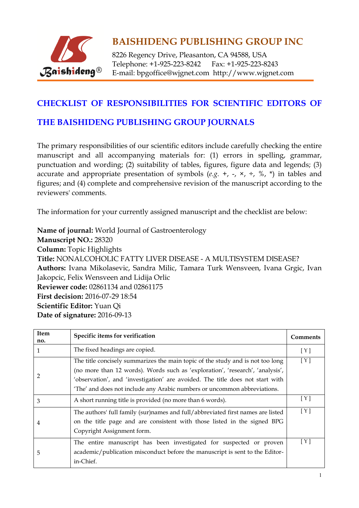

8226 Regency Drive, Pleasanton, CA 94588, USA Telephone: +1-925-223-8242 Fax: +1-925-223-8243 E-mail: bpgoffice@wjgnet.com http://www.wjgnet.com

#### **CHECKLIST OF RESPONSIBILITIES FOR SCIENTIFIC EDITORS OF**

#### **THE BAISHIDENG PUBLISHING GROUP JOURNALS**

The primary responsibilities of our scientific editors include carefully checking the entire manuscript and all accompanying materials for: (1) errors in spelling, grammar, punctuation and wording; (2) suitability of tables, figures, figure data and legends; (3) accurate and appropriate presentation of symbols  $(e.g. +, -, \times, \div, \%$ ,  $*)$  in tables and figures; and (4) complete and comprehensive revision of the manuscript according to the reviewers' comments.

The information for your currently assigned manuscript and the checklist are below:

**Name of journal:** World Journal of Gastroenterology **Manuscript NO.:** 28320 **Column:** Topic Highlights **Title:** NONALCOHOLIC FATTY LIVER DISEASE - A MULTISYSTEM DISEASE? **Authors:** Ivana Mikolasevic, Sandra Milic, Tamara Turk Wensveen, Ivana Grgic, Ivan Jakopcic, Felix Wensveen and Lidija Orlic **Reviewer code:** 02861134 and 02861175 **First decision:** 2016-07-29 18:54 **Scientific Editor:** Yuan Qi **Date of signature:** 2016-09-13

| Item<br>no. | Specific items for verification                                                                                                                                                                                                                                                                                              | <b>Comments</b> |
|-------------|------------------------------------------------------------------------------------------------------------------------------------------------------------------------------------------------------------------------------------------------------------------------------------------------------------------------------|-----------------|
| 1           | The fixed headings are copied.                                                                                                                                                                                                                                                                                               | [Y]             |
| 2           | The title concisely summarizes the main topic of the study and is not too long<br>(no more than 12 words). Words such as 'exploration', 'research', 'analysis',<br>'observation', and 'investigation' are avoided. The title does not start with<br>'The' and does not include any Arabic numbers or uncommon abbreviations. | [Y]             |
| 3           | A short running title is provided (no more than 6 words).                                                                                                                                                                                                                                                                    | [ Y ]           |
| 4           | The authors' full family (sur)names and full/abbreviated first names are listed<br>on the title page and are consistent with those listed in the signed BPG<br>Copyright Assignment form.                                                                                                                                    | [ Y ]           |
| 5           | The entire manuscript has been investigated for suspected or proven<br>academic/publication misconduct before the manuscript is sent to the Editor-<br>in-Chief.                                                                                                                                                             | [ Y ]           |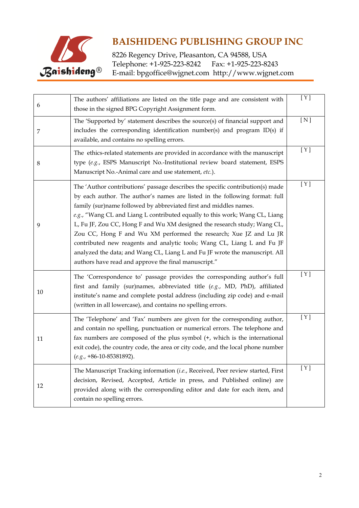

8226 Regency Drive, Pleasanton, CA 94588, USA<br>Telephone: +1-925-223-8242 Fax: +1-925-223-8243 Telephone: +1-925-223-8242 E-mail: bpgoffice@wjgnet.com http://www.wjgnet.com

| 6      | The authors' affiliations are listed on the title page and are consistent with<br>those in the signed BPG Copyright Assignment form.                                                                                                                                                                                                                                                                                                                                                                                                                                                                                                                                                 | [ Y ] |
|--------|--------------------------------------------------------------------------------------------------------------------------------------------------------------------------------------------------------------------------------------------------------------------------------------------------------------------------------------------------------------------------------------------------------------------------------------------------------------------------------------------------------------------------------------------------------------------------------------------------------------------------------------------------------------------------------------|-------|
| 7      | The 'Supported by' statement describes the source(s) of financial support and<br>includes the corresponding identification number(s) and program ID(s) if<br>available, and contains no spelling errors.                                                                                                                                                                                                                                                                                                                                                                                                                                                                             | [N]   |
| 8      | The ethics-related statements are provided in accordance with the manuscript<br>type (e.g., ESPS Manuscript No.-Institutional review board statement, ESPS<br>Manuscript No.-Animal care and use statement, etc.).                                                                                                                                                                                                                                                                                                                                                                                                                                                                   | [Y]   |
| 9      | The 'Author contributions' passage describes the specific contribution(s) made<br>by each author. The author's names are listed in the following format: full<br>family (sur)name followed by abbreviated first and middles names.<br>e.g., "Wang CL and Liang L contributed equally to this work; Wang CL, Liang<br>L, Fu JF, Zou CC, Hong F and Wu XM designed the research study; Wang CL,<br>Zou CC, Hong F and Wu XM performed the research; Xue JZ and Lu JR<br>contributed new reagents and analytic tools; Wang CL, Liang L and Fu JF<br>analyzed the data; and Wang CL, Liang L and Fu JF wrote the manuscript. All<br>authors have read and approve the final manuscript." | [Y]   |
| $10\,$ | The 'Correspondence to' passage provides the corresponding author's full<br>first and family (sur)names, abbreviated title (e.g., MD, PhD), affiliated<br>institute's name and complete postal address (including zip code) and e-mail<br>(written in all lowercase), and contains no spelling errors.                                                                                                                                                                                                                                                                                                                                                                               | [ Y ] |
| 11     | The 'Telephone' and 'Fax' numbers are given for the corresponding author,<br>and contain no spelling, punctuation or numerical errors. The telephone and<br>fax numbers are composed of the plus symbol (+, which is the international<br>exit code), the country code, the area or city code, and the local phone number<br>$(e.g., +86-10-85381892).$                                                                                                                                                                                                                                                                                                                              | [Y]   |
| 12     | The Manuscript Tracking information (i.e., Received, Peer review started, First<br>decision, Revised, Accepted, Article in press, and Published online) are<br>provided along with the corresponding editor and date for each item, and<br>contain no spelling errors.                                                                                                                                                                                                                                                                                                                                                                                                               | [ Y ] |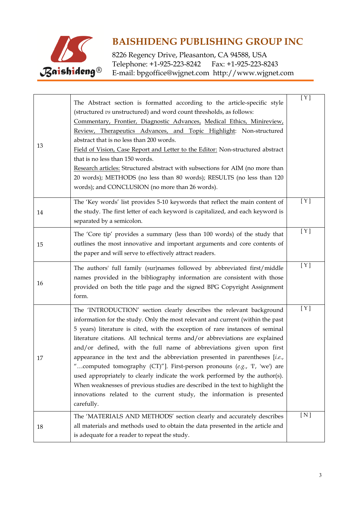

8226 Regency Drive, Pleasanton, CA 94588, USA Telephone: +1-925-223-8242 Fax: +1-925-223-8243 E-mail: bpgoffice@wjgnet.com http://www.wjgnet.com

| 13 | The Abstract section is formatted according to the article-specific style<br>(structured vs unstructured) and word count thresholds, as follows:<br>Commentary, Frontier, Diagnostic Advances, Medical Ethics, Minireview,<br>Review, Therapeutics Advances, and Topic Highlight: Non-structured<br>abstract that is no less than 200 words.<br>Field of Vision, Case Report and Letter to the Editor: Non-structured abstract<br>that is no less than 150 words.<br>Research articles: Structured abstract with subsections for AIM (no more than<br>20 words); METHODS (no less than 80 words); RESULTS (no less than 120<br>words); and CONCLUSION (no more than 26 words).                                                                                                                                      | [ Y ] |
|----|---------------------------------------------------------------------------------------------------------------------------------------------------------------------------------------------------------------------------------------------------------------------------------------------------------------------------------------------------------------------------------------------------------------------------------------------------------------------------------------------------------------------------------------------------------------------------------------------------------------------------------------------------------------------------------------------------------------------------------------------------------------------------------------------------------------------|-------|
| 14 | The 'Key words' list provides 5-10 keywords that reflect the main content of<br>the study. The first letter of each keyword is capitalized, and each keyword is<br>separated by a semicolon.                                                                                                                                                                                                                                                                                                                                                                                                                                                                                                                                                                                                                        | [ Y ] |
| 15 | The 'Core tip' provides a summary (less than 100 words) of the study that<br>outlines the most innovative and important arguments and core contents of<br>the paper and will serve to effectively attract readers.                                                                                                                                                                                                                                                                                                                                                                                                                                                                                                                                                                                                  | [Y]   |
| 16 | The authors' full family (sur)names followed by abbreviated first/middle<br>names provided in the bibliography information are consistent with those<br>provided on both the title page and the signed BPG Copyright Assignment<br>form.                                                                                                                                                                                                                                                                                                                                                                                                                                                                                                                                                                            | [Y]   |
| 17 | The 'INTRODUCTION' section clearly describes the relevant background<br>information for the study. Only the most relevant and current (within the past<br>5 years) literature is cited, with the exception of rare instances of seminal<br>literature citations. All technical terms and/or abbreviations are explained<br>and/or defined, with the full name of abbreviations given upon first<br>appearance in the text and the abbreviation presented in parentheses [i.e.,<br>"computed tomography (CT)"]. First-person pronouns (e.g., 'I', 'we') are<br>used appropriately to clearly indicate the work performed by the author(s).<br>When weaknesses of previous studies are described in the text to highlight the<br>innovations related to the current study, the information is presented<br>carefully. | [ Y ] |
| 18 | The 'MATERIALS AND METHODS' section clearly and accurately describes<br>all materials and methods used to obtain the data presented in the article and<br>is adequate for a reader to repeat the study.                                                                                                                                                                                                                                                                                                                                                                                                                                                                                                                                                                                                             | [N]   |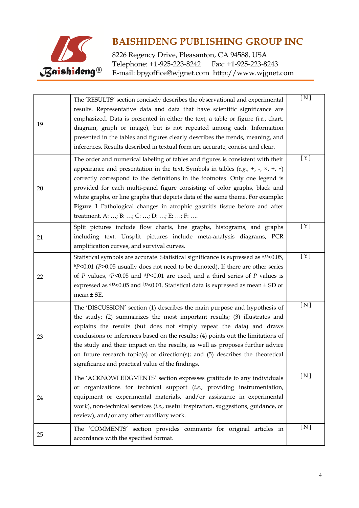

8226 Regency Drive, Pleasanton, CA 94588, USA<br>Telephone: +1-925-223-8242 Fax: +1-925-223-8243 Telephone: +1-925-223-8242 E-mail: bpgoffice@wjgnet.com http://www.wjgnet.com

| 19 | The 'RESULTS' section concisely describes the observational and experimental<br>results. Representative data and data that have scientific significance are<br>emphasized. Data is presented in either the text, a table or figure (i.e., chart,                                                                                                                                                                                                                                                                                                           | [N]   |
|----|------------------------------------------------------------------------------------------------------------------------------------------------------------------------------------------------------------------------------------------------------------------------------------------------------------------------------------------------------------------------------------------------------------------------------------------------------------------------------------------------------------------------------------------------------------|-------|
|    | diagram, graph or image), but is not repeated among each. Information<br>presented in the tables and figures clearly describes the trends, meaning, and<br>inferences. Results described in textual form are accurate, concise and clear.                                                                                                                                                                                                                                                                                                                  |       |
| 20 | The order and numerical labeling of tables and figures is consistent with their<br>appearance and presentation in the text. Symbols in tables (e.g., +, -, $\times$ , $\div$ , *)<br>correctly correspond to the definitions in the footnotes. Only one legend is<br>provided for each multi-panel figure consisting of color graphs, black and<br>white graphs, or line graphs that depicts data of the same theme. For example:<br>Figure 1 Pathological changes in atrophic gastritis tissue before and after<br>treatment. A: ; B: ; C: ; D: ; E: ; F: | [Y]   |
| 21 | Split pictures include flow charts, line graphs, histograms, and graphs<br>including text. Unsplit pictures include meta-analysis diagrams, PCR<br>amplification curves, and survival curves.                                                                                                                                                                                                                                                                                                                                                              | [Y]   |
| 22 | Statistical symbols are accurate. Statistical significance is expressed as <sup>a</sup> P<0.05,<br>$bP<0.01$ (P>0.05 usually does not need to be denoted). If there are other series<br>of P values, $\epsilon P$ <0.05 and $\epsilon P$ <0.01 are used, and a third series of P values is<br>expressed as $\mathrm{e}P$ <0.05 and $\mathrm{f}P$ <0.01. Statistical data is expressed as mean $\pm$ SD or<br>mean $\pm$ SE.                                                                                                                                | [ Y ] |
| 23 | The 'DISCUSSION' section (1) describes the main purpose and hypothesis of<br>the study; (2) summarizes the most important results; (3) illustrates and<br>explains the results (but does not simply repeat the data) and draws<br>conclusions or inferences based on the results; (4) points out the limitations of<br>the study and their impact on the results, as well as proposes further advice<br>on future research topic(s) or direction(s); and (5) describes the theoretical<br>significance and practical value of the findings.                | [N]   |
| 24 | The 'ACKNOWLEDGMENTS' section expresses gratitude to any individuals<br>or organizations for technical support (i.e., providing instrumentation,<br>equipment or experimental materials, and/or assistance in experimental<br>work), non-technical services (i.e., useful inspiration, suggestions, guidance, or<br>review), and/or any other auxiliary work.                                                                                                                                                                                              | [N]   |
| 25 | The 'COMMENTS' section provides comments for original articles in<br>accordance with the specified format.                                                                                                                                                                                                                                                                                                                                                                                                                                                 | [N]   |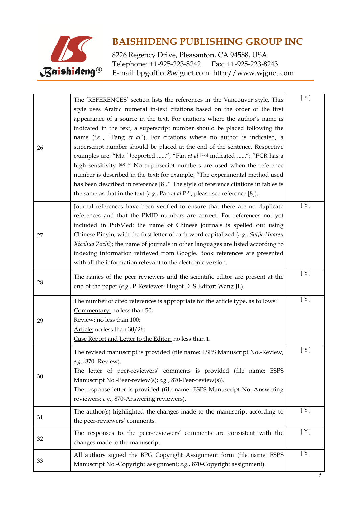

8226 Regency Drive, Pleasanton, CA 94588, USA<br>Telephone: +1-925-223-8242 Fax: +1-925-223-8243 Telephone: +1-925-223-8242 E-mail: bpgoffice@wjgnet.com http://www.wjgnet.com

|    | The 'REFERENCES' section lists the references in the Vancouver style. This                                                                                                     | [ Y ] |
|----|--------------------------------------------------------------------------------------------------------------------------------------------------------------------------------|-------|
|    | style uses Arabic numeral in-text citations based on the order of the first                                                                                                    |       |
|    | appearance of a source in the text. For citations where the author's name is                                                                                                   |       |
|    | indicated in the text, a superscript number should be placed following the                                                                                                     |       |
|    | name (i.e, "Pang et al"). For citations where no author is indicated, a                                                                                                        |       |
| 26 | superscript number should be placed at the end of the sentence. Respective                                                                                                     |       |
|    | examples are: "Ma [1] reported ", "Pan et al [2-5] indicated "; "PCR has a                                                                                                     |       |
|    | high sensitivity [6,9]." No superscript numbers are used when the reference                                                                                                    |       |
|    | number is described in the text; for example, "The experimental method used                                                                                                    |       |
|    | has been described in reference [8]." The style of reference citations in tables is<br>the same as that in the text $(e.g.,$ Pan et al $[2-5]$ , please see reference $[8]$ ). |       |
|    |                                                                                                                                                                                |       |
|    | Journal references have been verified to ensure that there are no duplicate                                                                                                    | [ Y ] |
|    | references and that the PMID numbers are correct. For references not yet                                                                                                       |       |
|    | included in PubMed: the name of Chinese journals is spelled out using<br>Chinese Pinyin, with the first letter of each word capitalized (e.g., Shijie Huaren                   |       |
| 27 | Xiaohua Zazhi); the name of journals in other languages are listed according to                                                                                                |       |
|    | indexing information retrieved from Google. Book references are presented                                                                                                      |       |
|    | with all the information relevant to the electronic version.                                                                                                                   |       |
|    | The names of the peer reviewers and the scientific editor are present at the                                                                                                   | [Y]   |
| 28 | end of the paper (e.g., P-Reviewer: Hugot D S-Editor: Wang JL).                                                                                                                |       |
|    |                                                                                                                                                                                |       |
|    | The number of cited references is appropriate for the article type, as follows:                                                                                                | [Y]   |
|    | Commentary: no less than 50;                                                                                                                                                   |       |
| 29 | Review: no less than 100;<br>Article: no less than 30/26;                                                                                                                      |       |
|    | Case Report and Letter to the Editor: no less than 1.                                                                                                                          |       |
|    |                                                                                                                                                                                |       |
|    | The revised manuscript is provided (file name: ESPS Manuscript No.-Review;                                                                                                     | [ Y ] |
|    | e.g., 870- Review).                                                                                                                                                            |       |
| 30 | The letter of peer-reviewers' comments is provided (file name: ESPS<br>Manuscript No.-Peer-review(s); e.g., 870-Peer-review(s)).                                               |       |
|    | The response letter is provided (file name: ESPS Manuscript No.-Answering                                                                                                      |       |
|    | reviewers; e.g., 870-Answering reviewers).                                                                                                                                     |       |
|    | The author(s) highlighted the changes made to the manuscript according to                                                                                                      | [Y]   |
| 31 | the peer-reviewers' comments.                                                                                                                                                  |       |
|    | The responses to the peer-reviewers' comments are consistent with the                                                                                                          | [Y]   |
| 32 | changes made to the manuscript.                                                                                                                                                |       |
|    | All authors signed the BPG Copyright Assignment form (file name: ESPS                                                                                                          | [Y]   |
| 33 | Manuscript No.-Copyright assignment; e.g., 870-Copyright assignment).                                                                                                          |       |